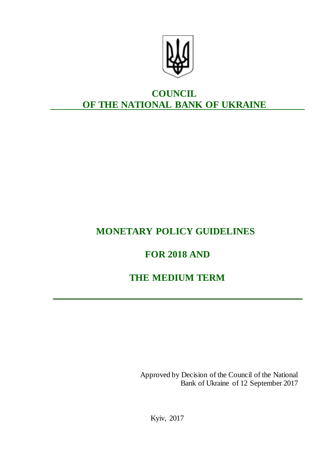

# **COUNCIL OF THE NATIONAL BANK OF UKRAINE**

# **MONETARY POLICY GUIDELINES**

# **FOR 2018 AND**

# **THE MEDIUM TERM**

Approved by Decision of the Council of the National Bank of Ukraine of 12 September 2017

Kyiv, 2017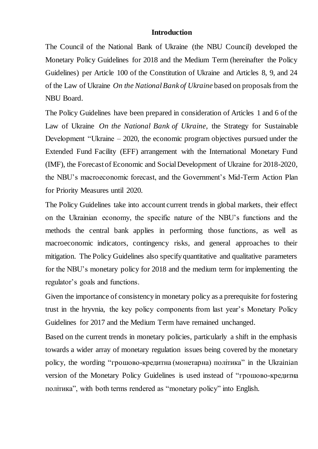## **Introduction**

The Council of the National Bank of Ukraine (the NBU Council) developed the Monetary Policy Guidelines for 2018 and the Medium Term (hereinafter the Policy Guidelines) per Article 100 of the Constitution of Ukraine and Articles 8, 9, and 24 of the Law of Ukraine *On the National Bank of Ukraine* based on proposals from the NBU Board.

The Policy Guidelines have been prepared in consideration of Articles 1 and 6 of the Law of Ukraine *On the National Bank of Ukraine*, the Strategy for Sustainable Development "Ukraine – 2020, the economic program objectives pursued under the Extended Fund Facility (EFF) arrangement with the International Monetary Fund (IMF), the Forecast of Economic and Social Development of Ukraine for 2018-2020, the NBU's macroeconomic forecast, and the Government's Mid-Term Action Plan for Priority Measures until 2020.

The Policy Guidelines take into account current trends in global markets, their effect on the Ukrainian economy, the specific nature of the NBU's functions and the methods the central bank applies in performing those functions, as well as macroeconomic indicators, contingency risks, and general approaches to their mitigation. The Policy Guidelines also specify quantitative and qualitative parameters for the NBU's monetary policy for 2018 and the medium term for implementing the regulator's goals and functions.

Given the importance of consistency in monetary policy as a prerequisite for fostering trust in the hryvnia, the key policy components from last year's Monetary Policy Guidelines for 2017 and the Medium Term have remained unchanged.

Based on the current trends in monetary policies, particularly a shift in the emphasis towards a wider array of monetary regulation issues being covered by the monetary policy, the wording "грошово-кредитна (монетарна) політика" in the Ukrainian version of the Monetary Policy Guidelines is used instead of "грошово-кредитна політика", with both terms rendered as "monetary policy" into English.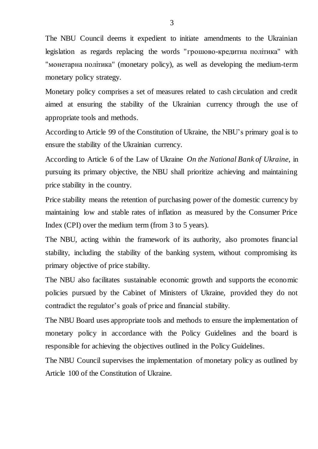The NBU Council deems it expedient to initiate amendments to the Ukrainian legislation as regards replacing the words "грошово-кредитна політика" with "монетарна політика" (monetary policy), as well as developing the medium-term monetary policy strategy.

Monetary policy comprises a set of measures related to cash circulation and credit aimed at ensuring the stability of the Ukrainian currency through the use of appropriate tools and methods.

According to Article 99 of the Constitution of Ukraine, the NBU's primary goal is to ensure the stability of the Ukrainian currency.

According to Article 6 of the Law of Ukraine *On the National Bank of Ukraine*, in pursuing its primary objective, the NBU shall prioritize achieving and maintaining price stability in the country.

Price stability means the retention of purchasing power of the domestic currency by maintaining low and stable rates of inflation as measured by the Consumer Price Index (CPI) over the medium term (from 3 to 5 years).

The NBU, acting within the framework of its authority, also promotes financial stability, including the stability of the banking system, without compromising its primary objective of price stability.

The NBU also facilitates sustainable economic growth and supports the economic policies pursued by the Cabinet of Ministers of Ukraine, provided they do not contradict the regulator's goals of price and financial stability.

The NBU Board uses appropriate tools and methods to ensure the implementation of monetary policy in accordance with the Policy Guidelines and the board is responsible for achieving the objectives outlined in the Policy Guidelines.

The NBU Council supervises the implementation of monetary policy as outlined by Article 100 of the Constitution of Ukraine.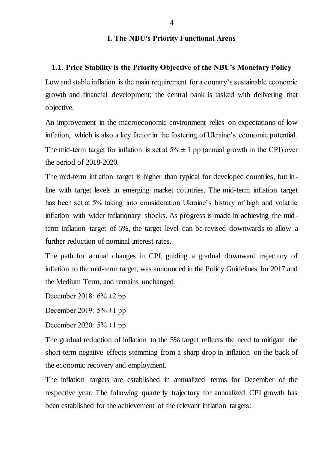## **І. The NBU's Priority Functional Areas**

#### **1.1. Price Stability is the Priority Objective of the NBU's Monetary Policy**

Low and stable inflation is the main requirement for a country's sustainable economic growth and financial development; the central bank is tasked with delivering that objective.

An improvement in the macroeconomic environment relies on expectations of low inflation, which is also a key factor in the fostering of Ukraine's economic potential. The mid-term target for inflation is set at  $5\% \pm 1$  pp (annual growth in the CPI) over the period of 2018-2020.

The mid-term inflation target is higher than typical for developed countries, but inline with target levels in emerging market countries. The mid-term inflation target has been set at 5% taking into consideration Ukraine's history of high and volatile inflation with wider inflationary shocks. As progress is made in achieving the midterm inflation target of 5%, the target level can be revised downwards to allow a further reduction of nominal interest rates.

The path for annual changes in CPI, guiding a gradual downward trajectory of inflation to the mid-term target, was announced in the Policy Guidelines for 2017 and the Medium Term, and remains unchanged:

December 2018:  $6\% \pm 2$  pp

December 2019:  $5\% \pm 1$  pp

December 2020:  $5\% \pm 1$  pp

The gradual reduction of inflation to the 5% target reflects the need to mitigate the short-term negative effects stemming from a sharp drop in inflation on the back of the economic recovery and employment.

The inflation targets are established in annualized terms for December of the respective year. The following quarterly trajectory for annualized CPI growth has been established for the achievement of the relevant inflation targets: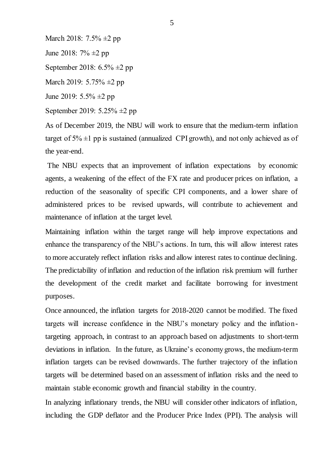March 2018: 7.5%  $\pm$ 2 pp

June 2018: 7% ±2 pp

September 2018: 6.5% ±2 pp

March 2019: 5.75%  $\pm 2$  pp

June 2019:  $5.5\% \pm 2$  pp

September 2019: 5.25% ±2 pp

As of December 2019, the NBU will work to ensure that the medium-term inflation target of  $5\% \pm 1$  pp is sustained (annualized CPI growth), and not only achieved as of the year-end.

The NBU expects that an improvement of inflation expectations by economic agents, a weakening of the effect of the FX rate and producer prices on inflation, a reduction of the seasonality of specific CPI components, and a lower share of administered prices to be revised upwards, will contribute to achievement and maintenance of inflation at the target level.

Maintaining inflation within the target range will help improve expectations and enhance the transparency of the NBU's actions. In turn, this will allow interest rates to more accurately reflect inflation risks and allow interest rates to continue declining. The predictability of inflation and reduction of the inflation risk premium will further the development of the credit market and facilitate borrowing for investment purposes.

Once announced, the inflation targets for 2018-2020 cannot be modified. The fixed targets will increase confidence in the NBU's monetary policy and the inflationtargeting approach, in contrast to an approach based on adjustments to short-term deviations in inflation. In the future, as Ukraine's economy grows, the medium-term inflation targets can be revised downwards. The further trajectory of the inflation targets will be determined based on an assessment of inflation risks and the need to maintain stable economic growth and financial stability in the country.

In analyzing inflationary trends, the NBU will consider other indicators of inflation, including the GDP deflator and the Producer Price Index (PPI). The analysis will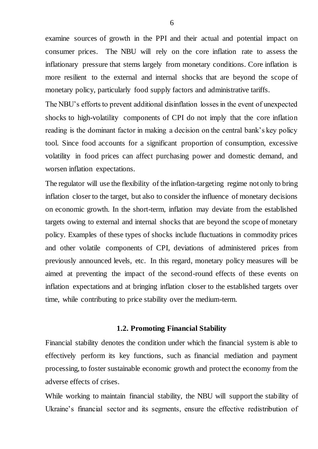examine sources of growth in the PPI and their actual and potential impact on consumer prices. The NBU will rely on the core inflation rate to assess the inflationary pressure that stems largely from monetary conditions. Core inflation is more resilient to the external and internal shocks that are beyond the scope of monetary policy, particularly food supply factors and administrative tariffs.

The NBU's efforts to prevent additional disinflation losses in the event of unexpected shocks to high-volatility components of CPI do not imply that the core inflation reading is the dominant factor in making a decision on the central bank's key policy tool. Since food accounts for a significant proportion of consumption, excessive volatility in food prices can affect purchasing power and domestic demand, and worsen inflation expectations.

The regulator will use the flexibility of the inflation-targeting regime not only to bring inflation closer to the target, but also to consider the influence of monetary decisions on economic growth. In the short-term, inflation may deviate from the established targets owing to external and internal shocks that are beyond the scope of monetary policy. Examples of these types of shocks include fluctuations in commodity prices and other volatile components of CPI, deviations of administered prices from previously announced levels, etc. In this regard, monetary policy measures will be aimed at preventing the impact of the second-round effects of these events on inflation expectations and at bringing inflation closer to the established targets over time, while contributing to price stability over the medium-term.

#### **1.2. Promoting Financial Stability**

Financial stability denotes the condition under which the financial system is able to effectively perform its key functions, such as financial mediation and payment processing, to foster sustainable economic growth and protect the economy from the adverse effects of crises.

While working to maintain financial stability, the NBU will support the stability of Ukraine's financial sector and its segments, ensure the effective redistribution of

6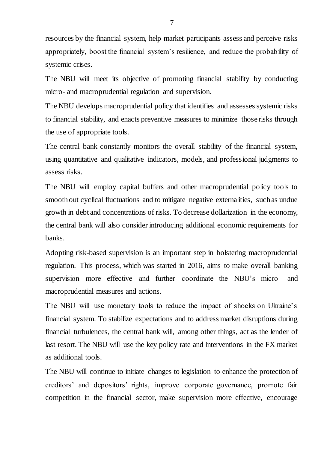resources by the financial system, help market participants assess and perceive risks appropriately, boost the financial system's resilience, and reduce the probability of systemic crises.

The NBU will meet its objective of promoting financial stability by conducting micro- and macroprudential regulation and supervision.

The NBU develops macroprudential policy that identifies and assesses systemic risks to financial stability, and enacts preventive measures to minimize those risks through the use of appropriate tools.

The central bank constantly monitors the overall stability of the financial system, using quantitative and qualitative indicators, models, and professional judgments to assess risks.

The NBU will employ capital buffers and other macroprudential policy tools to smooth out cyclical fluctuations and to mitigate negative externalities, such as undue growth in debt and concentrations of risks. To decrease dollarization in the economy, the central bank will also consider introducing additional economic requirements for banks.

Adopting risk-based supervision is an important step in bolstering macroprudential regulation. This process, which was started in 2016, aims to make overall banking supervision more effective and further coordinate the NBU's micro- and macroprudential measures and actions.

The NBU will use monetary tools to reduce the impact of shocks on Ukraine's financial system. To stabilize expectations and to address market disruptions during financial turbulences, the central bank will, among other things, act as the lender of last resort. The NBU will use the key policy rate and interventions in the FX market as additional tools.

The NBU will continue to initiate changes to legislation to enhance the protection of creditors' and depositors' rights, improve corporate governance, promote fair competition in the financial sector, make supervision more effective, encourage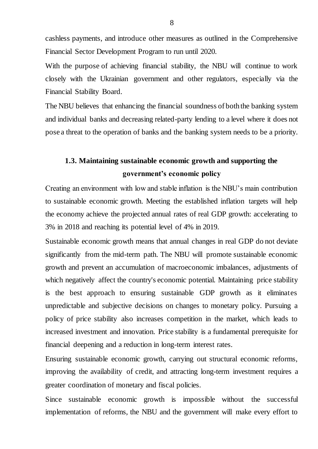cashless payments, and introduce other measures as outlined in the Comprehensive Financial Sector Development Program to run until 2020.

With the purpose of achieving financial stability, the NBU will continue to work closely with the Ukrainian government and other regulators, especially via the Financial Stability Board.

The NBU believes that enhancing the financial soundness of both the banking system and individual banks and decreasing related-party lending to a level where it does not pose a threat to the operation of banks and the banking system needs to be a priority.

# **1.3. Maintaining sustainable economic growth and supporting the government's economic policy**

Creating an environment with low and stable inflation is the NBU's main contribution to sustainable economic growth. Meeting the established inflation targets will help the economy achieve the projected annual rates of real GDP growth: accelerating to 3% in 2018 and reaching its potential level of 4% in 2019.

Sustainable economic growth means that annual changes in real GDP do not deviate significantly from the mid-term path. The NBU will promote sustainable economic growth and prevent an accumulation of macroeconomic imbalances, adjustments of which negatively affect the country's economic potential. Maintaining price stability is the best approach to ensuring sustainable GDP growth as it eliminates unpredictable and subjective decisions on changes to monetary policy. Pursuing a policy of price stability also increases competition in the market, which leads to increased investment and innovation. Price stability is a fundamental prerequisite for financial deepening and a reduction in long-term interest rates.

Ensuring sustainable economic growth, carrying out structural economic reforms, improving the availability of credit, and attracting long-term investment requires a greater coordination of monetary and fiscal policies.

Since sustainable economic growth is impossible without the successful implementation of reforms, the NBU and the government will make every effort to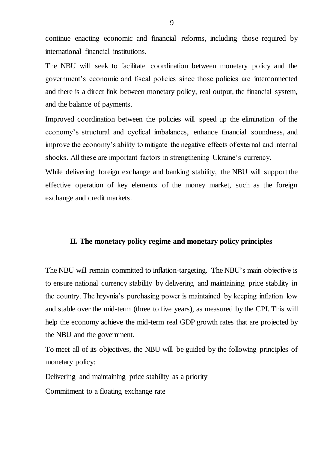continue enacting economic and financial reforms, including those required by international financial institutions.

The NBU will seek to facilitate coordination between monetary policy and the government's economic and fiscal policies since those policies are interconnected and there is a direct link between monetary policy, real output, the financial system, and the balance of payments.

Improved coordination between the policies will speed up the elimination of the economy's structural and cyclical imbalances, enhance financial soundness, and improve the economy's ability to mitigate the negative effects of external and internal shocks. All these are important factors in strengthening Ukraine's currency.

While delivering foreign exchange and banking stability, the NBU will support the effective operation of key elements of the money market, such as the foreign exchange and credit markets.

## **II. The monetary policy regime and monetary policy principles**

The NBU will remain committed to inflation-targeting. The NBU's main objective is to ensure national currency stability by delivering and maintaining price stability in the country. The hryvnia's purchasing power is maintained by keeping inflation low and stable over the mid-term (three to five years), as measured by the CPI. This will help the economy achieve the mid-term real GDP growth rates that are projected by the NBU and the government.

To meet all of its objectives, the NBU will be guided by the following principles of monetary policy:

Delivering and maintaining price stability as a priority

Commitment to a floating exchange rate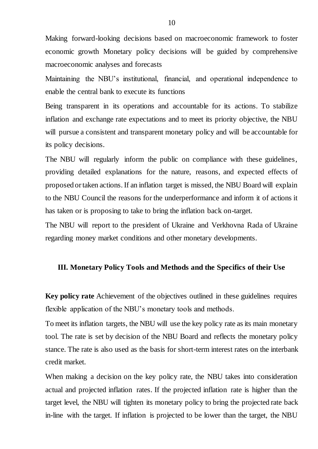Making forward-looking decisions based on macroeconomic framework to foster economic growth Monetary policy decisions will be guided by comprehensive macroeconomic analyses and forecasts

Maintaining the NBU's institutional, financial, and operational independence to enable the central bank to execute its functions

Being transparent in its operations and accountable for its actions. To stabilize inflation and exchange rate expectations and to meet its priority objective, the NBU will pursue a consistent and transparent monetary policy and will be accountable for its policy decisions.

The NBU will regularly inform the public on compliance with these guidelines, providing detailed explanations for the nature, reasons, and expected effects of proposed or taken actions. If an inflation target is missed, the NBU Board will explain to the NBU Council the reasons for the underperformance and inform it of actions it has taken or is proposing to take to bring the inflation back on-target.

The NBU will report to the president of Ukraine and Verkhovna Rada of Ukraine regarding money market conditions and other monetary developments.

## **ІІІ. Monetary Policy Tools and Methods and the Specifics of their Use**

**Key policy rate** Achievement of the objectives outlined in these guidelines requires flexible application of the NBU's monetary tools and methods.

To meet its inflation targets, the NBU will use the key policy rate as its main monetary tool. The rate is set by decision of the NBU Board and reflects the monetary policy stance. The rate is also used as the basis for short-term interest rates on the interbank credit market.

When making a decision on the key policy rate, the NBU takes into consideration actual and projected inflation rates. If the projected inflation rate is higher than the target level, the NBU will tighten its monetary policy to bring the projected rate back in-line with the target. If inflation is projected to be lower than the target, the NBU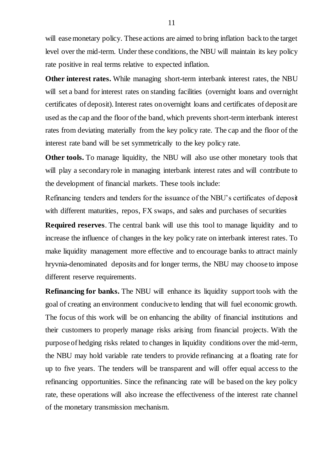will ease monetary policy. These actions are aimed to bring inflation back to the target level over the mid-term. Under these conditions, the NBU will maintain its key policy rate positive in real terms relative to expected inflation.

**Other interest rates.** While managing short-term interbank interest rates, the NBU will set a band for interest rates on standing facilities (overnight loans and overnight certificates of deposit). Interest rates on overnight loans and certificates of deposit are used as the cap and the floor of the band, which prevents short-term interbank interest rates from deviating materially from the key policy rate. The cap and the floor of the interest rate band will be set symmetrically to the key policy rate.

**Other tools.** To manage liquidity, the NBU will also use other monetary tools that will play a secondary role in managing interbank interest rates and will contribute to the development of financial markets. These tools include:

Refinancing tenders and tenders for the issuance of the NBU's certificates of deposit with different maturities, repos, FX swaps, and sales and purchases of securities

**Required reserves**. The central bank will use this tool to manage liquidity and to increase the influence of changes in the key policy rate on interbank interest rates. To make liquidity management more effective and to encourage banks to attract mainly hryvnia-denominated deposits and for longer terms, the NBU may choose to impose different reserve requirements.

**Refinancing for banks.** The NBU will enhance its liquidity support tools with the goal of creating an environment conducive to lending that will fuel economic growth. The focus of this work will be on enhancing the ability of financial institutions and their customers to properly manage risks arising from financial projects. With the purpose of hedging risks related to changes in liquidity conditions over the mid-term, the NBU may hold variable rate tenders to provide refinancing at a floating rate for up to five years. The tenders will be transparent and will offer equal access to the refinancing opportunities. Since the refinancing rate will be based on the key policy rate, these operations will also increase the effectiveness of the interest rate channel of the monetary transmission mechanism.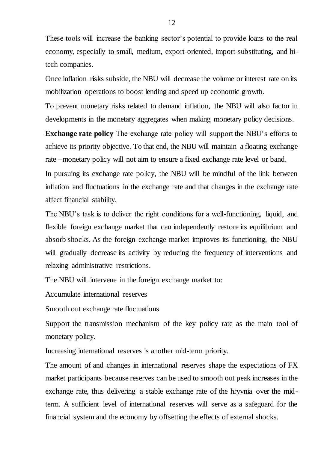These tools will increase the banking sector's potential to provide loans to the real economy, especially to small, medium, export-oriented, import-substituting, and hitech companies.

Once inflation risks subside, the NBU will decrease the volume or interest rate on its mobilization operations to boost lending and speed up economic growth.

To prevent monetary risks related to demand inflation, the NBU will also factor in developments in the monetary aggregates when making monetary policy decisions.

**Exchange rate policy** The exchange rate policy will support the NBU's efforts to achieve its priority objective. To that end, the NBU will maintain a floating exchange rate –monetary policy will not aim to ensure a fixed exchange rate level or band.

In pursuing its exchange rate policy, the NBU will be mindful of the link between inflation and fluctuations in the exchange rate and that changes in the exchange rate affect financial stability.

The NBU's task is to deliver the right conditions for a well-functioning, liquid, and flexible foreign exchange market that can independently restore its equilibrium and absorb shocks. As the foreign exchange market improves its functioning, the NBU will gradually decrease its activity by reducing the frequency of interventions and relaxing administrative restrictions.

The NBU will intervene in the foreign exchange market to:

Accumulate international reserves

Smooth out exchange rate fluctuations

Support the transmission mechanism of the key policy rate as the main tool of monetary policy.

Increasing international reserves is another mid-term priority.

The amount of and changes in international reserves shape the expectations of FX market participants because reserves can be used to smooth out peak increases in the exchange rate, thus delivering a stable exchange rate of the hryvnia over the midterm. A sufficient level of international reserves will serve as a safeguard for the financial system and the economy by offsetting the effects of external shocks.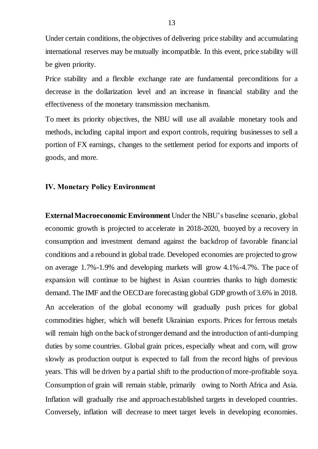Under certain conditions, the objectives of delivering price stability and accumulating international reserves may be mutually incompatible. In this event, price stability will be given priority.

Price stability and a flexible exchange rate are fundamental preconditions for a decrease in the dollarization level and an increase in financial stability and the effectiveness of the monetary transmission mechanism.

To meet its priority objectives, the NBU will use all available monetary tools and methods, including capital import and export controls, requiring businesses to sell a portion of FX earnings, changes to the settlement period for exports and imports of goods, and more.

#### **ІV. Monetary Policy Environment**

**External Macroeconomic Environment** Under the NBU's baseline scenario, global economic growth is projected to accelerate in 2018-2020, buoyed by a recovery in consumption and investment demand against the backdrop of favorable financial conditions and a rebound in global trade. Developed economies are projected to grow on average 1.7%-1.9% and developing markets will grow 4.1%-4.7%. The pace of expansion will continue to be highest in Asian countries thanks to high domestic demand. The IMF and the OECD are forecasting global GDP growth of 3.6% in 2018. An acceleration of the global economy will gradually push prices for global commodities higher, which will benefit Ukrainian exports. Prices for ferrous metals will remain high on the back of stronger demand and the introduction of anti-dumping duties by some countries. Global grain prices, especially wheat and corn, will grow slowly as production output is expected to fall from the record highs of previous years. This will be driven by a partial shift to the production of more-profitable soya. Consumption of grain will remain stable, primarily owing to North Africa and Asia. Inflation will gradually rise and approach established targets in developed countries. Conversely, inflation will decrease to meet target levels in developing economies.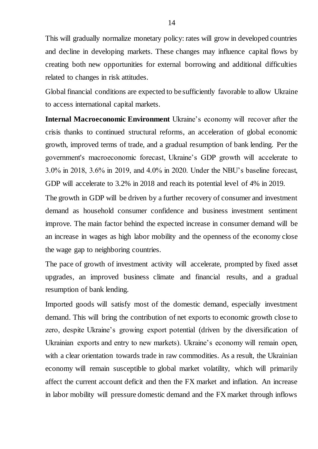This will gradually normalize monetary policy: rates will grow in developed countries and decline in developing markets. These changes may influence capital flows by creating both new opportunities for external borrowing and additional difficulties related to changes in risk attitudes.

Global financial conditions are expected to be sufficiently favorable to allow Ukraine to access international capital markets.

**Internal Macroeconomic Environment** Ukraine's economy will recover after the crisis thanks to continued structural reforms, an acceleration of global economic growth, improved terms of trade, and a gradual resumption of bank lending. Per the government's macroeconomic forecast, Ukraine's GDP growth will accelerate to 3.0% in 2018, 3.6% in 2019, and 4.0% in 2020. Under the NBU's baseline forecast, GDP will accelerate to 3.2% in 2018 and reach its potential level of 4% in 2019.

The growth in GDP will be driven by a further recovery of consumer and investment demand as household consumer confidence and business investment sentiment improve. The main factor behind the expected increase in consumer demand will be an increase in wages as high labor mobility and the openness of the economy close the wage gap to neighboring countries.

The pace of growth of investment activity will accelerate, prompted by fixed asset upgrades, an improved business climate and financial results, and a gradual resumption of bank lending.

Imported goods will satisfy most of the domestic demand, especially investment demand. This will bring the contribution of net exports to economic growth close to zero, despite Ukraine's growing export potential (driven by the diversification of Ukrainian exports and entry to new markets). Ukraine's economy will remain open, with a clear orientation towards trade in raw commodities. As a result, the Ukrainian economy will remain susceptible to global market volatility, which will primarily affect the current account deficit and then the FX market and inflation. An increase in labor mobility will pressure domestic demand and the FX market through inflows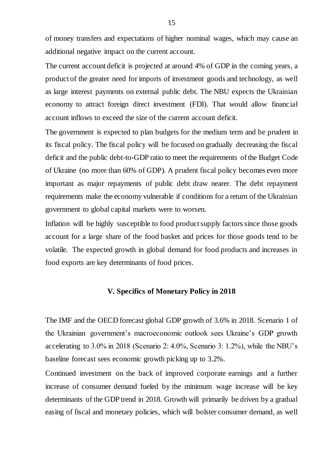of money transfers and expectations of higher nominal wages, which may cause an additional negative impact on the current account.

The current account deficit is projected at around 4% of GDP in the coming years, a product of the greater need for imports of investment goods and technology, as well as large interest payments on external public debt. The NBU expects the Ukrainian economy to attract foreign direct investment (FDI). That would allow financial account inflows to exceed the size of the current account deficit.

The government is expected to plan budgets for the medium term and be prudent in its fiscal policy. The fiscal policy will be focused on gradually decreasing the fiscal deficit and the public debt-to-GDP ratio to meet the requirements of the Budget Code of Ukraine (no more than 60% of GDP). A prudent fiscal policy becomes even more important as major repayments of public debt draw nearer. The debt repayment requirements make the economy vulnerable if conditions for a return of the Ukrainian government to global capital markets were to worsen.

Inflation will be highly susceptible to food product supply factors since those goods account for a large share of the food basket and prices for those goods tend to be volatile. The expected growth in global demand for food products and increases in food exports are key determinants of food prices.

## **V. Specifics of Monetary Policy in 2018**

The IMF and the OECD forecast global GDP growth of 3.6% in 2018. Scenario 1 of the Ukrainian government's macroeconomic outlook sees Ukraine's GDP growth accelerating to 3.0% in 2018 (Scenario 2: 4.0%, Scenario 3: 1.2%), while the NBU's baseline forecast sees economic growth picking up to 3.2%.

Continued investment on the back of improved corporate earnings and a further increase of consumer demand fueled by the minimum wage increase will be key determinants of the GDP trend in 2018. Growth will primarily be driven by a gradual easing of fiscal and monetary policies, which will bolster consumer demand, as well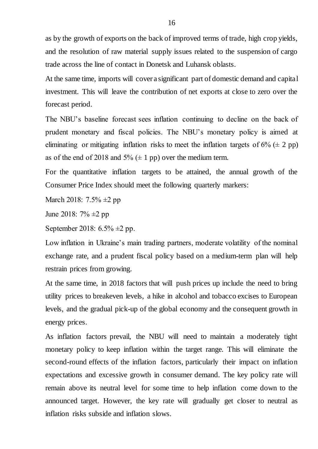as by the growth of exports on the back of improved terms of trade, high crop yields, and the resolution of raw material supply issues related to the suspension of cargo trade across the line of contact in Donetsk and Luhansk oblasts.

At the same time, imports will cover a significant part of domestic demand and capital investment. This will leave the contribution of net exports at close to zero over the forecast period.

The NBU's baseline forecast sees inflation continuing to decline on the back of prudent monetary and fiscal policies. The NBU's monetary policy is aimed at eliminating or mitigating inflation risks to meet the inflation targets of  $6\%$  ( $\pm$  2 pp) as of the end of 2018 and  $5\%$  ( $\pm$  1 pp) over the medium term.

For the quantitative inflation targets to be attained, the annual growth of the Consumer Price Index should meet the following quarterly markers:

March 2018: 7.5% ±2 pp

June 2018: 7% ±2 pp

September 2018: 6.5% ±2 pp.

Low inflation in Ukraine's main trading partners, moderate volatility of the nominal exchange rate, and a prudent fiscal policy based on a medium-term plan will help restrain prices from growing.

At the same time, in 2018 factors that will push prices up include the need to bring utility prices to breakeven levels, a hike in alcohol and tobacco excises to European levels, and the gradual pick-up of the global economy and the consequent growth in energy prices.

As inflation factors prevail, the NBU will need to maintain a moderately tight monetary policy to keep inflation within the target range. This will eliminate the second-round effects of the inflation factors, particularly their impact on inflation expectations and excessive growth in consumer demand. The key policy rate will remain above its neutral level for some time to help inflation come down to the announced target. However, the key rate will gradually get closer to neutral as inflation risks subside and inflation slows.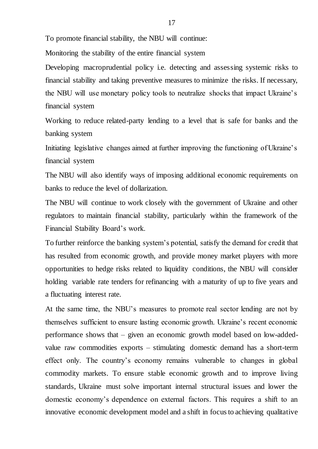To promote financial stability, the NBU will continue:

Monitoring the stability of the entire financial system

Developing macroprudential policy i.e. detecting and assessing systemic risks to financial stability and taking preventive measures to minimize the risks. If necessary, the NBU will use monetary policy tools to neutralize shocks that impact Ukraine's financial system

Working to reduce related-party lending to a level that is safe for banks and the banking system

Initiating legislative changes aimed at further improving the functioning of Ukraine's financial system

The NBU will also identify ways of imposing additional economic requirements on banks to reduce the level of dollarization.

The NBU will continue to work closely with the government of Ukraine and other regulators to maintain financial stability, particularly within the framework of the Financial Stability Board's work.

To further reinforce the banking system's potential, satisfy the demand for credit that has resulted from economic growth, and provide money market players with more opportunities to hedge risks related to liquidity conditions, the NBU will consider holding variable rate tenders for refinancing with a maturity of up to five years and a fluctuating interest rate.

At the same time, the NBU's measures to promote real sector lending are not by themselves sufficient to ensure lasting economic growth. Ukraine's recent economic performance shows that – given an economic growth model based on low-addedvalue raw commodities exports – stimulating domestic demand has a short-term effect only. The country's economy remains vulnerable to changes in global commodity markets. To ensure stable economic growth and to improve living standards, Ukraine must solve important internal structural issues and lower the domestic economy's dependence on external factors. This requires a shift to an innovative economic development model and a shift in focus to achieving qualitative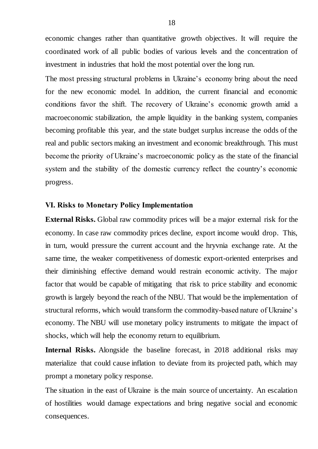economic changes rather than quantitative growth objectives. It will require the coordinated work of all public bodies of various levels and the concentration of investment in industries that hold the most potential over the long run.

The most pressing structural problems in Ukraine's economy bring about the need for the new economic model. In addition, the current financial and economic conditions favor the shift. The recovery of Ukraine's economic growth amid a macroeconomic stabilization, the ample liquidity in the banking system, companies becoming profitable this year, and the state budget surplus increase the odds of the real and public sectors making an investment and economic breakthrough. This must become the priority of Ukraine's macroeconomic policy as the state of the financial system and the stability of the domestic currency reflect the country's economic progress.

# **VІ. Risks to Monetary Policy Implementation**

**External Risks.** Global raw commodity prices will be a major external risk for the economy. In case raw commodity prices decline, export income would drop. This, in turn, would pressure the current account and the hryvnia exchange rate. At the same time, the weaker competitiveness of domestic export-oriented enterprises and their diminishing effective demand would restrain economic activity. The major factor that would be capable of mitigating that risk to price stability and economic growth is largely beyond the reach of the NBU. That would be the implementation of structural reforms, which would transform the commodity-based nature of Ukraine's economy. The NBU will use monetary policy instruments to mitigate the impact of shocks, which will help the economy return to equilibrium.

**Internal Risks.** Alongside the baseline forecast, in 2018 additional risks may materialize that could cause inflation to deviate from its projected path, which may prompt a monetary policy response.

The situation in the east of Ukraine is the main source of uncertainty. An escalation of hostilities would damage expectations and bring negative social and economic consequences.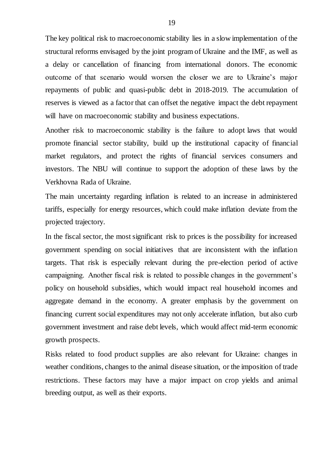The key political risk to macroeconomic stability lies in a slow implementation of the structural reforms envisaged by the joint program of Ukraine and the IMF, as well as a delay or cancellation of financing from international donors. The economic outcome of that scenario would worsen the closer we are to Ukraine's major repayments of public and quasi-public debt in 2018-2019. The accumulation of reserves is viewed as a factor that can offset the negative impact the debt repayment will have on macroeconomic stability and business expectations.

Another risk to macroeconomic stability is the failure to adopt laws that would promote financial sector stability, build up the institutional capacity of financial market regulators, and protect the rights of financial services consumers and investors. The NBU will continue to support the adoption of these laws by the Verkhovna Rada of Ukraine.

The main uncertainty regarding inflation is related to an increase in administered tariffs, especially for energy resources, which could make inflation deviate from the projected trajectory.

In the fiscal sector, the most significant risk to prices is the possibility for increased government spending on social initiatives that are inconsistent with the inflation targets. That risk is especially relevant during the pre-election period of active campaigning. Another fiscal risk is related to possible changes in the government's policy on household subsidies, which would impact real household incomes and aggregate demand in the economy. A greater emphasis by the government on financing current social expenditures may not only accelerate inflation, but also curb government investment and raise debt levels, which would affect mid-term economic growth prospects.

Risks related to food product supplies are also relevant for Ukraine: changes in weather conditions, changes to the animal disease situation, or the imposition of trade restrictions. These factors may have a major impact on crop yields and animal breeding output, as well as their exports.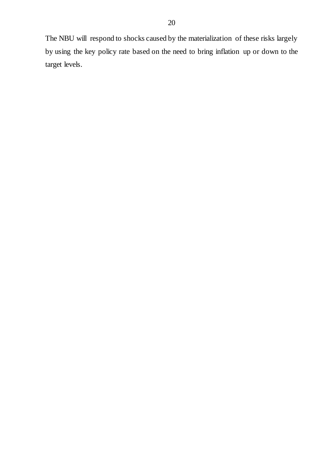The NBU will respond to shocks caused by the materialization of these risks largely by using the key policy rate based on the need to bring inflation up or down to the target levels.